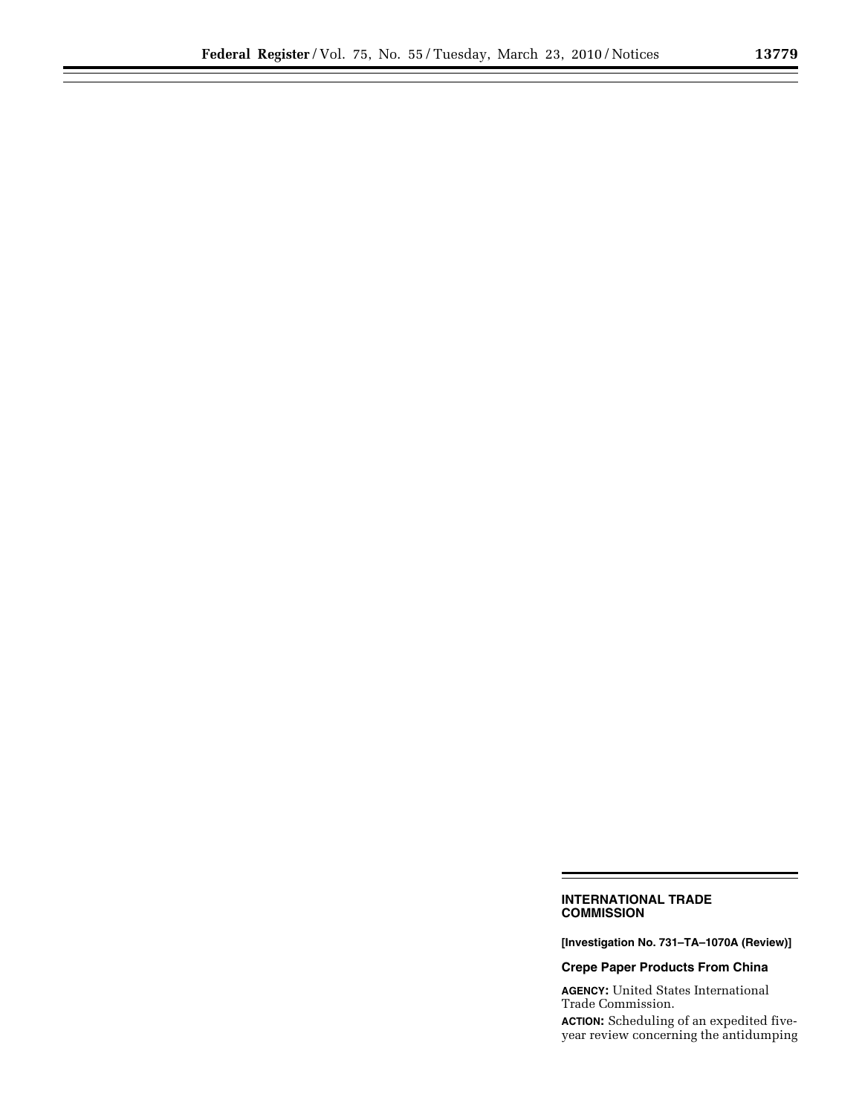## **INTERNATIONAL TRADE COMMISSION**

**[Investigation No. 731–TA–1070A (Review)]** 

۳

## **Crepe Paper Products From China**

**AGENCY:** United States International Trade Commission.

**ACTION:** Scheduling of an expedited fiveyear review concerning the antidumping